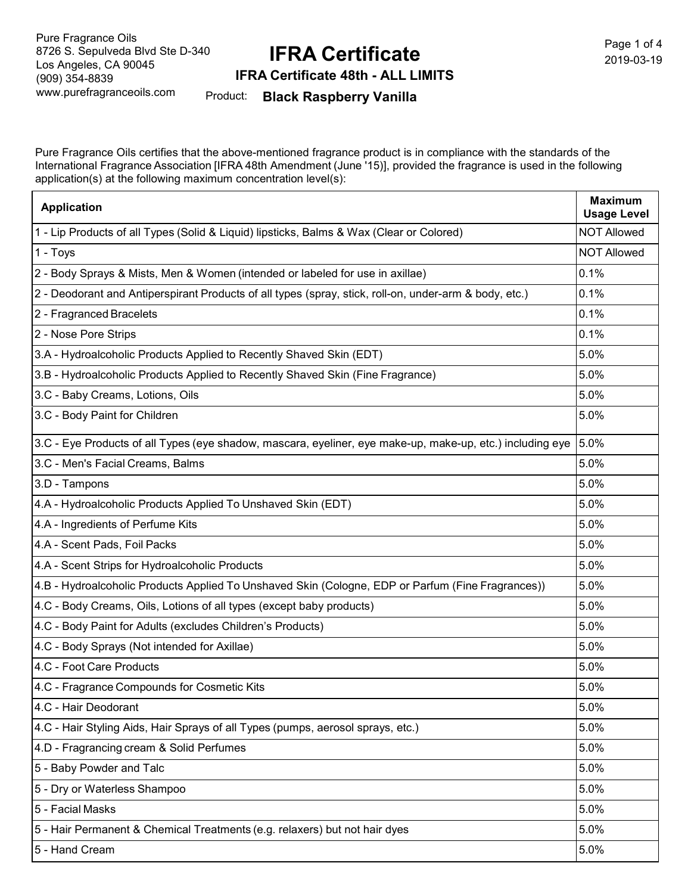# **IFRA Certificate**

Page 1 of 4 2019-03-19

**IFRA Certificate 48th - ALL LIMITS**

Product: **Black Raspberry Vanilla**

Pure Fragrance Oils certifies that the above-mentioned fragrance product is in compliance with the standards of the International Fragrance Association [IFRA 48th Amendment (June '15)], provided the fragrance is used in the following application(s) at the following maximum concentration level(s):

| <b>Application</b>                                                                                        | <b>Maximum</b><br><b>Usage Level</b> |
|-----------------------------------------------------------------------------------------------------------|--------------------------------------|
| 1 - Lip Products of all Types (Solid & Liquid) lipsticks, Balms & Wax (Clear or Colored)                  | <b>NOT Allowed</b>                   |
| 1 - Toys                                                                                                  | <b>NOT Allowed</b>                   |
| 2 - Body Sprays & Mists, Men & Women (intended or labeled for use in axillae)                             | 0.1%                                 |
| 2 - Deodorant and Antiperspirant Products of all types (spray, stick, roll-on, under-arm & body, etc.)    | 0.1%                                 |
| 2 - Fragranced Bracelets                                                                                  | 0.1%                                 |
| 2 - Nose Pore Strips                                                                                      | 0.1%                                 |
| 3.A - Hydroalcoholic Products Applied to Recently Shaved Skin (EDT)                                       | 5.0%                                 |
| 3.B - Hydroalcoholic Products Applied to Recently Shaved Skin (Fine Fragrance)                            | 5.0%                                 |
| 3.C - Baby Creams, Lotions, Oils                                                                          | 5.0%                                 |
| 3.C - Body Paint for Children                                                                             | 5.0%                                 |
| 3.C - Eye Products of all Types (eye shadow, mascara, eyeliner, eye make-up, make-up, etc.) including eye | 5.0%                                 |
| 3.C - Men's Facial Creams, Balms                                                                          | 5.0%                                 |
| 3.D - Tampons                                                                                             | 5.0%                                 |
| 4.A - Hydroalcoholic Products Applied To Unshaved Skin (EDT)                                              | 5.0%                                 |
| 4.A - Ingredients of Perfume Kits                                                                         | 5.0%                                 |
| 4.A - Scent Pads, Foil Packs                                                                              | 5.0%                                 |
| 4.A - Scent Strips for Hydroalcoholic Products                                                            | 5.0%                                 |
| 4.B - Hydroalcoholic Products Applied To Unshaved Skin (Cologne, EDP or Parfum (Fine Fragrances))         | 5.0%                                 |
| 4.C - Body Creams, Oils, Lotions of all types (except baby products)                                      | 5.0%                                 |
| 4.C - Body Paint for Adults (excludes Children's Products)                                                | 5.0%                                 |
| 4.C - Body Sprays (Not intended for Axillae)                                                              | 5.0%                                 |
| 4.C - Foot Care Products                                                                                  | 5.0%                                 |
| 4.C - Fragrance Compounds for Cosmetic Kits                                                               | 5.0%                                 |
| 4.C - Hair Deodorant                                                                                      | 5.0%                                 |
| 4.C - Hair Styling Aids, Hair Sprays of all Types (pumps, aerosol sprays, etc.)                           | 5.0%                                 |
| 4.D - Fragrancing cream & Solid Perfumes                                                                  | 5.0%                                 |
| 5 - Baby Powder and Talc                                                                                  | 5.0%                                 |
| 5 - Dry or Waterless Shampoo                                                                              | 5.0%                                 |
| 5 - Facial Masks                                                                                          | 5.0%                                 |
| 5 - Hair Permanent & Chemical Treatments (e.g. relaxers) but not hair dyes                                | 5.0%                                 |
| 5 - Hand Cream                                                                                            | 5.0%                                 |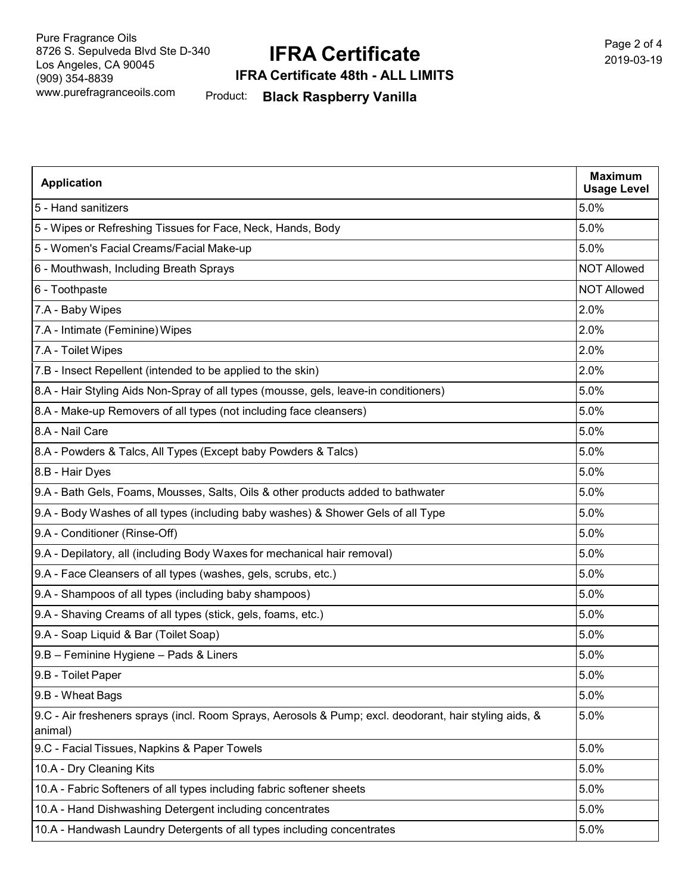## **IFRA Certificate**

Page 2 of 4 2019-03-19

#### **IFRA Certificate 48th - ALL LIMITS**

Product: **Black Raspberry Vanilla**

| <b>Application</b>                                                                                                | <b>Maximum</b><br><b>Usage Level</b> |
|-------------------------------------------------------------------------------------------------------------------|--------------------------------------|
| 5 - Hand sanitizers                                                                                               | 5.0%                                 |
| 5 - Wipes or Refreshing Tissues for Face, Neck, Hands, Body                                                       | 5.0%                                 |
| 5 - Women's Facial Creams/Facial Make-up                                                                          | 5.0%                                 |
| 6 - Mouthwash, Including Breath Sprays                                                                            | <b>NOT Allowed</b>                   |
| 6 - Toothpaste                                                                                                    | <b>NOT Allowed</b>                   |
| 7.A - Baby Wipes                                                                                                  | 2.0%                                 |
| 7.A - Intimate (Feminine) Wipes                                                                                   | 2.0%                                 |
| 7.A - Toilet Wipes                                                                                                | 2.0%                                 |
| 7.B - Insect Repellent (intended to be applied to the skin)                                                       | 2.0%                                 |
| 8.A - Hair Styling Aids Non-Spray of all types (mousse, gels, leave-in conditioners)                              | 5.0%                                 |
| 8.A - Make-up Removers of all types (not including face cleansers)                                                | 5.0%                                 |
| 8.A - Nail Care                                                                                                   | 5.0%                                 |
| 8.A - Powders & Talcs, All Types (Except baby Powders & Talcs)                                                    | 5.0%                                 |
| 8.B - Hair Dyes                                                                                                   | 5.0%                                 |
| 9.A - Bath Gels, Foams, Mousses, Salts, Oils & other products added to bathwater                                  | 5.0%                                 |
| 9.A - Body Washes of all types (including baby washes) & Shower Gels of all Type                                  | 5.0%                                 |
| 9.A - Conditioner (Rinse-Off)                                                                                     | 5.0%                                 |
| 9.A - Depilatory, all (including Body Waxes for mechanical hair removal)                                          | 5.0%                                 |
| 9.A - Face Cleansers of all types (washes, gels, scrubs, etc.)                                                    | 5.0%                                 |
| 9.A - Shampoos of all types (including baby shampoos)                                                             | 5.0%                                 |
| 9.A - Shaving Creams of all types (stick, gels, foams, etc.)                                                      | 5.0%                                 |
| 9.A - Soap Liquid & Bar (Toilet Soap)                                                                             | 5.0%                                 |
| 9.B - Feminine Hygiene - Pads & Liners                                                                            | 5.0%                                 |
| 9.B - Toilet Paper                                                                                                | 5.0%                                 |
| 9.B - Wheat Bags                                                                                                  | 5.0%                                 |
| 9.C - Air fresheners sprays (incl. Room Sprays, Aerosols & Pump; excl. deodorant, hair styling aids, &<br>animal) | 5.0%                                 |
| 9.C - Facial Tissues, Napkins & Paper Towels                                                                      | 5.0%                                 |
| 10.A - Dry Cleaning Kits                                                                                          | 5.0%                                 |
| 10.A - Fabric Softeners of all types including fabric softener sheets                                             | 5.0%                                 |
| 10.A - Hand Dishwashing Detergent including concentrates                                                          | 5.0%                                 |
| 10.A - Handwash Laundry Detergents of all types including concentrates                                            | 5.0%                                 |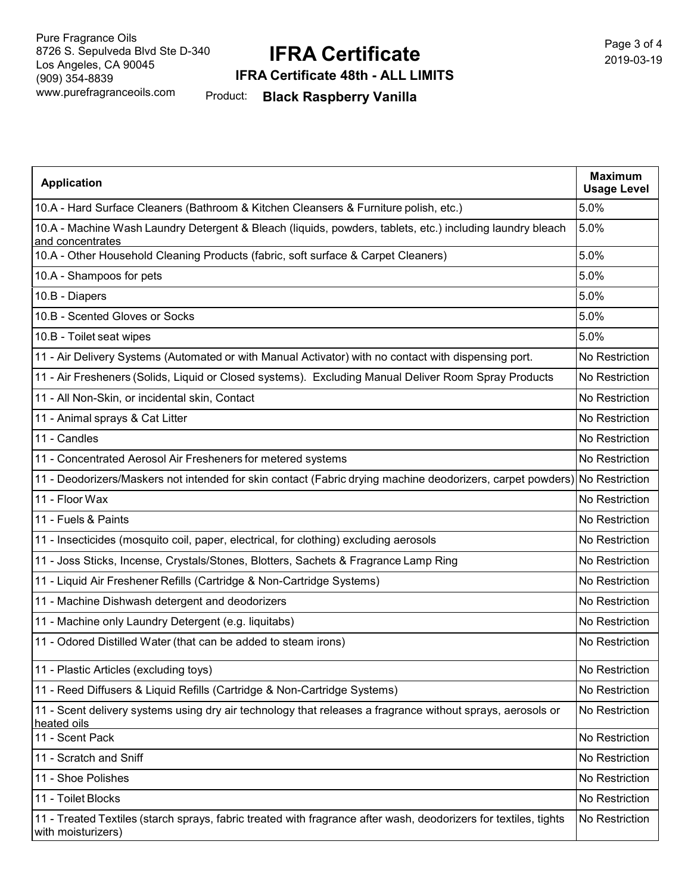# **IFRA Certificate**

Page 3 of 4 2019-03-19

**IFRA Certificate 48th - ALL LIMITS**

Product: **Black Raspberry Vanilla**

| <b>Application</b>                                                                                                                     | <b>Maximum</b><br><b>Usage Level</b> |
|----------------------------------------------------------------------------------------------------------------------------------------|--------------------------------------|
| 10.A - Hard Surface Cleaners (Bathroom & Kitchen Cleansers & Furniture polish, etc.)                                                   | 5.0%                                 |
| 10.A - Machine Wash Laundry Detergent & Bleach (liquids, powders, tablets, etc.) including laundry bleach<br>and concentrates          | 5.0%                                 |
| 10.A - Other Household Cleaning Products (fabric, soft surface & Carpet Cleaners)                                                      | 5.0%                                 |
| 10.A - Shampoos for pets                                                                                                               | 5.0%                                 |
| 10.B - Diapers                                                                                                                         | 5.0%                                 |
| 10.B - Scented Gloves or Socks                                                                                                         | 5.0%                                 |
| 10.B - Toilet seat wipes                                                                                                               | 5.0%                                 |
| 11 - Air Delivery Systems (Automated or with Manual Activator) with no contact with dispensing port.                                   | No Restriction                       |
| 11 - Air Fresheners (Solids, Liquid or Closed systems). Excluding Manual Deliver Room Spray Products                                   | No Restriction                       |
| 11 - All Non-Skin, or incidental skin, Contact                                                                                         | No Restriction                       |
| 11 - Animal sprays & Cat Litter                                                                                                        | No Restriction                       |
| 11 - Candles                                                                                                                           | No Restriction                       |
| 11 - Concentrated Aerosol Air Fresheners for metered systems                                                                           | No Restriction                       |
| 11 - Deodorizers/Maskers not intended for skin contact (Fabric drying machine deodorizers, carpet powders) No Restriction              |                                      |
| 11 - Floor Wax                                                                                                                         | No Restriction                       |
| 11 - Fuels & Paints                                                                                                                    | No Restriction                       |
| 11 - Insecticides (mosquito coil, paper, electrical, for clothing) excluding aerosols                                                  | No Restriction                       |
| 11 - Joss Sticks, Incense, Crystals/Stones, Blotters, Sachets & Fragrance Lamp Ring                                                    | No Restriction                       |
| 11 - Liquid Air Freshener Refills (Cartridge & Non-Cartridge Systems)                                                                  | No Restriction                       |
| 11 - Machine Dishwash detergent and deodorizers                                                                                        | No Restriction                       |
| 11 - Machine only Laundry Detergent (e.g. liquitabs)                                                                                   | No Restriction                       |
| 11 - Odored Distilled Water (that can be added to steam irons)                                                                         | No Restriction                       |
| 11 - Plastic Articles (excluding toys)                                                                                                 | No Restriction                       |
| 11 - Reed Diffusers & Liquid Refills (Cartridge & Non-Cartridge Systems)                                                               | No Restriction                       |
| 11 - Scent delivery systems using dry air technology that releases a fragrance without sprays, aerosols or<br>heated oils              | No Restriction                       |
| 11 - Scent Pack                                                                                                                        | No Restriction                       |
| 11 - Scratch and Sniff                                                                                                                 | No Restriction                       |
| 11 - Shoe Polishes                                                                                                                     | No Restriction                       |
| 11 - Toilet Blocks                                                                                                                     | No Restriction                       |
| 11 - Treated Textiles (starch sprays, fabric treated with fragrance after wash, deodorizers for textiles, tights<br>with moisturizers) | No Restriction                       |